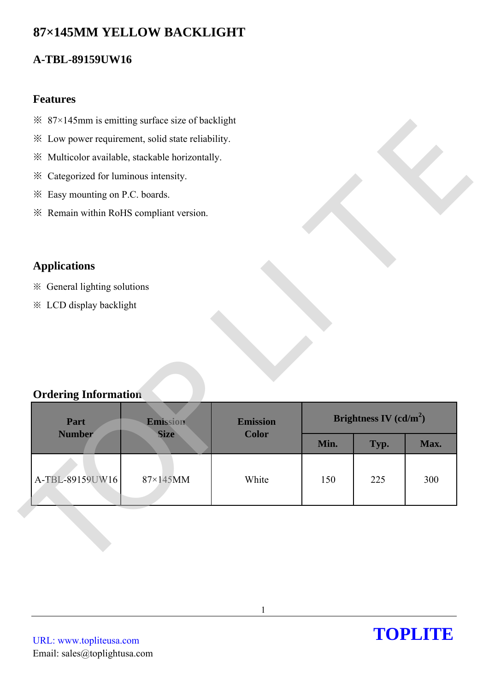# **87×145MM YELLOW BACKLIGHT**

# **A-TBL-89159UW16**

### **Features**

- $\frac{1}{2}$  87×145mm is emitting surface size of backlight
- ※ Low power requirement, solid state reliability.
- ※ Multicolor available, stackable horizontally.
- ※ Categorized for luminous intensity.
- ※ Easy mounting on P.C. boards.
- ※ Remain within RoHS compliant version.

## **Applications**

- ※ General lighting solutions
- ※ LCD display backlight

## **Ordering Information**

| * Low power requirement, solid state reliability. |             |              |                          |      |      |
|---------------------------------------------------|-------------|--------------|--------------------------|------|------|
| ※ Multicolor available, stackable horizontally.   |             |              |                          |      |      |
| * Categorized for luminous intensity.             |             |              |                          |      |      |
| * Easy mounting on P.C. boards.                   |             |              |                          |      |      |
| * Remain within RoHS compliant version.           |             |              |                          |      |      |
|                                                   |             |              |                          |      |      |
| <b>Applications</b>                               |             |              |                          |      |      |
| ※ General lighting solutions                      |             |              |                          |      |      |
| <b>※ LCD display backlight</b>                    |             |              |                          |      |      |
|                                                   |             |              |                          |      |      |
|                                                   |             |              |                          |      |      |
|                                                   |             |              |                          |      |      |
|                                                   |             |              |                          |      |      |
| <b>Ordering Information</b>                       |             |              |                          |      |      |
| <b>Emission</b><br>Part<br>Emission               |             |              | Brightness IV $(cd/m^2)$ |      |      |
| <b>Number</b>                                     | <b>Size</b> | <b>Color</b> | Min.                     | Typ. | Max. |
|                                                   |             |              |                          |      |      |
| A-TBL-89159UW16                                   | 87×145MM    | White        | 150                      | 225  | 300  |
|                                                   |             |              |                          |      |      |
|                                                   |             |              |                          |      |      |
|                                                   |             |              |                          |      |      |
|                                                   |             |              |                          |      |      |
|                                                   |             |              |                          |      |      |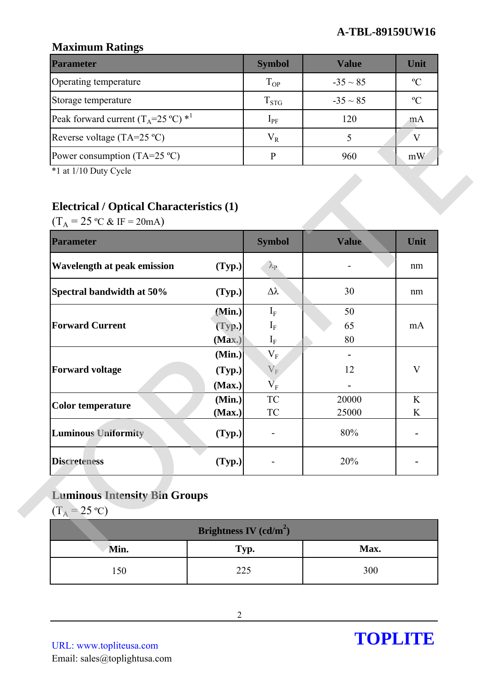### **A-TBL-89159UW16**

## **Maximum Ratings**

| <b>Parameter</b>                                        | <b>Symbol</b> | <b>Value</b>  | Unit           |
|---------------------------------------------------------|---------------|---------------|----------------|
| Operating temperature                                   | $T_{OP}$      | $-35 \sim 85$ | $\mathcal{C}$  |
| Storage temperature                                     | $T_{STG}$     | $-35 \sim 85$ | $\mathfrak{O}$ |
| Peak forward current $(T_A=25 \degree C)$ <sup>*1</sup> | $1_{\rm PF}$  | 120           | m A            |
| Reverse voltage (TA=25 $^{\circ}$ C)                    | $V_{R}$       |               |                |
| Power consumption (TA=25 $^{\circ}$ C)                  |               | 960           | mW             |

# **Electrical / Optical Characteristics (1)**

| <b>Electrical / Optical Characteristics (1)</b><br>$(T_A = 25 \text{ °C} \& \text{ IF} = 20 \text{ mA})$ |        |                      |       |              |
|----------------------------------------------------------------------------------------------------------|--------|----------------------|-------|--------------|
| <b>Parameter</b>                                                                                         |        | <b>Symbol</b>        | Value | Unit         |
| <b>Wavelength at peak emission</b>                                                                       | (Typ.) | $\lambda_{\rm P}$    |       | nm           |
| Spectral bandwidth at 50%                                                                                | (Typ.) | Δλ                   | 30    | nm           |
|                                                                                                          | (Min.) | $I_F$                | 50    |              |
| <b>Forward Current</b>                                                                                   | (Typ.) | $I_F$                | 65    | mA           |
|                                                                                                          | (Max.) | $\mathbf{I}_{\rm F}$ | 80    |              |
|                                                                                                          | (Min.) | $V_F$                |       |              |
| <b>Forward voltage</b>                                                                                   | (Typ.) | $\rm V_F$            | 12    | $\mathbf{V}$ |
|                                                                                                          | (Max.) | $\rm V_F$            |       |              |
| <b>Color temperature</b>                                                                                 | (Min.) | <b>TC</b>            | 20000 | K            |
|                                                                                                          | (Max.) | <b>TC</b>            | 25000 | K            |
| <b>Luminous Uniformity</b>                                                                               | (Typ.) |                      | 80%   |              |
| <b>Discreteness</b>                                                                                      | (Typ.) |                      | 20%   |              |
|                                                                                                          |        |                      |       |              |
| <b>Luminous Intensity Bin Groups</b>                                                                     |        |                      |       |              |

# **Luminous Intensity Bin Groups**

| Brightness IV $(cd/m^2)$ |      |      |  |  |
|--------------------------|------|------|--|--|
| Min.                     | Typ. | Max. |  |  |
| 150                      | 225  | 300  |  |  |

URL: www.topliteusa.com Email: sales@toplightusa.com

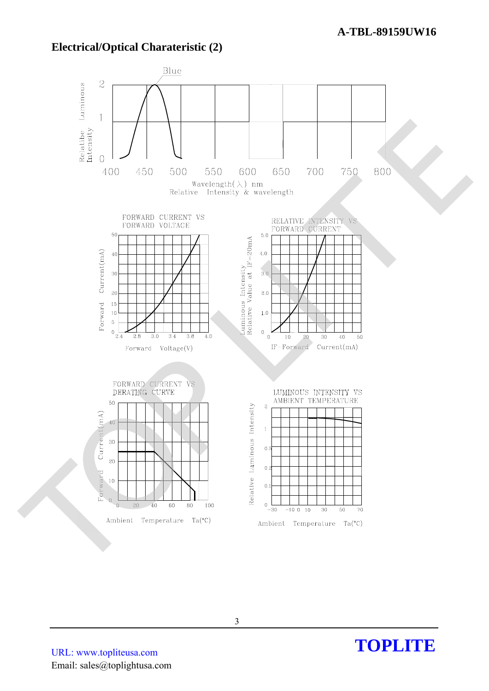## **Electrical/Optical Charateristic (2)**



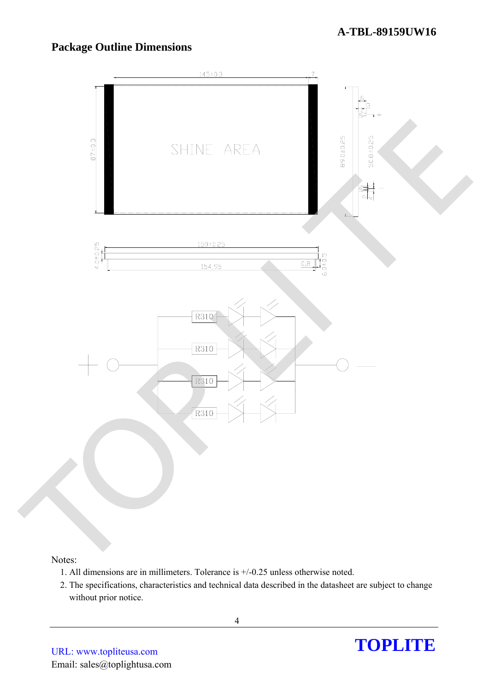# **Package Outline Dimensions**



#### Notes:

- 1. All dimensions are in millimeters. Tolerance is +/-0.25 unless otherwise noted.
- 2. The specifications, characteristics and technical data described in the datasheet are subject to change without prior notice.